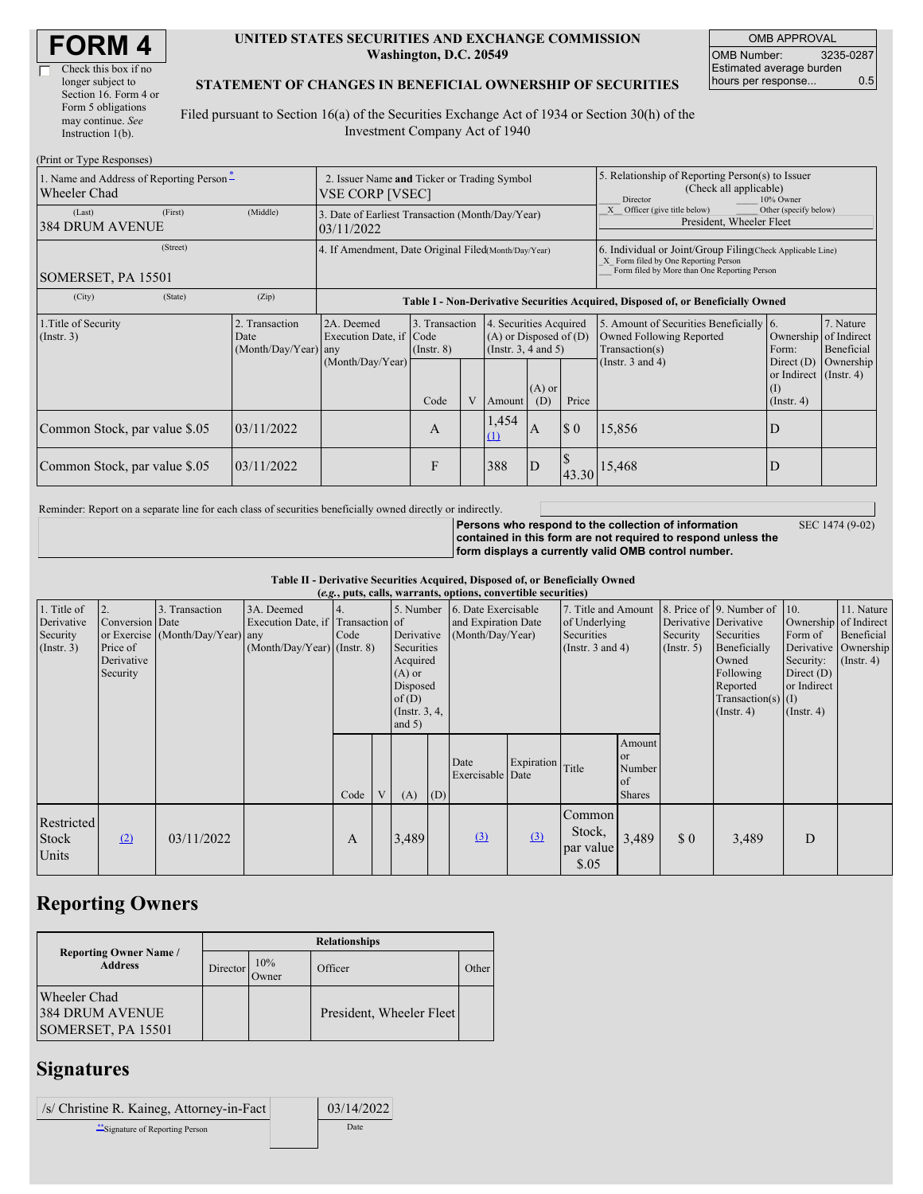| <b>FORM4</b> |  |
|--------------|--|
|--------------|--|

 $\Box$ 

| Check this box if no  |
|-----------------------|
| longer subject to     |
| Section 16. Form 4 or |
| Form 5 obligations    |
| may continue. See     |
| Instruction $1(b)$ .  |
|                       |

#### **UNITED STATES SECURITIES AND EXCHANGE COMMISSION Washington, D.C. 20549**

OMB APPROVAL OMB Number: 3235-0287 Estimated average burden hours per response... 0.5

#### **STATEMENT OF CHANGES IN BENEFICIAL OWNERSHIP OF SECURITIES**

Filed pursuant to Section 16(a) of the Securities Exchange Act of 1934 or Section 30(h) of the Investment Company Act of 1940

| (Print or Type Responses)                                |                                                                |                                                                                  |                                   |   |                                                                                  |                 |                                                                                                     |                                                                                                                                                    |                                                                         |                         |
|----------------------------------------------------------|----------------------------------------------------------------|----------------------------------------------------------------------------------|-----------------------------------|---|----------------------------------------------------------------------------------|-----------------|-----------------------------------------------------------------------------------------------------|----------------------------------------------------------------------------------------------------------------------------------------------------|-------------------------------------------------------------------------|-------------------------|
| 1. Name and Address of Reporting Person-<br>Wheeler Chad | 2. Issuer Name and Ticker or Trading Symbol<br>VSE CORP [VSEC] |                                                                                  |                                   |   |                                                                                  |                 | 5. Relationship of Reporting Person(s) to Issuer<br>(Check all applicable)<br>10% Owner<br>Director |                                                                                                                                                    |                                                                         |                         |
| (First)<br>(Last)<br><b>384 DRUM AVENUE</b>              | (Middle)                                                       | 3. Date of Earliest Transaction (Month/Day/Year)<br>03/11/2022                   |                                   |   |                                                                                  |                 |                                                                                                     | Officer (give title below)<br>Other (specify below)<br>President, Wheeler Fleet                                                                    |                                                                         |                         |
| (Street)<br>SOMERSET, PA 15501                           |                                                                | 4. If Amendment, Date Original Filed(Month/Day/Year)                             |                                   |   |                                                                                  |                 |                                                                                                     | 6. Individual or Joint/Group Filing Check Applicable Line)<br>X Form filed by One Reporting Person<br>Form filed by More than One Reporting Person |                                                                         |                         |
| (City)<br>(State)                                        | (Zip)                                                          | Table I - Non-Derivative Securities Acquired, Disposed of, or Beneficially Owned |                                   |   |                                                                                  |                 |                                                                                                     |                                                                                                                                                    |                                                                         |                         |
| 1. Title of Security<br>$($ Instr. 3 $)$                 | Transaction<br>Date<br>(Month/Day/Year) any                    | 2A. Deemed<br>Execution Date, if Code                                            | 3. Transaction<br>$($ Instr. $8)$ |   | 4. Securities Acquired<br>$(A)$ or Disposed of $(D)$<br>(Instr. $3, 4$ and $5$ ) |                 |                                                                                                     | 5. Amount of Securities Beneficially 6.<br>Owned Following Reported<br>Transaction(s)                                                              | Ownership of Indirect<br>Form:                                          | 7. Nature<br>Beneficial |
|                                                          |                                                                | (Month/Day/Year)                                                                 | Code                              | V | Amount                                                                           | $(A)$ or<br>(D) | Price                                                                                               | (Instr. $3$ and $4$ )                                                                                                                              | Direct $(D)$<br>or Indirect $($ Instr. 4 $)$<br>(I)<br>$($ Instr. 4 $)$ | Ownership               |
| Common Stock, par value \$.05                            | 03/11/2022                                                     |                                                                                  | A                                 |   | 1,454<br>$\Omega$                                                                | $\mathbf{A}$    | $\boldsymbol{\mathsf{S}}$ 0                                                                         | 15,856                                                                                                                                             | D                                                                       |                         |
| Common Stock, par value \$.05                            | 03/11/2022                                                     |                                                                                  | F                                 |   | 388                                                                              | ID              | 43.30                                                                                               | 15,468                                                                                                                                             | D                                                                       |                         |

Reminder: Report on a separate line for each class of securities beneficially owned directly or indirectly.

**Persons who respond to the collection of information contained in this form are not required to respond unless the** SEC 1474 (9-02)

**form displays a currently valid OMB control number.**

**Table II - Derivative Securities Acquired, Disposed of, or Beneficially Owned**

|                                                           | (e.g., puts, calls, warrants, options, convertible securities) |                                                    |                                                                                  |            |   |                                                                                                         |     |                                                                          |                  |                                                                             |                                                      |                                                       |                                                                                                                                          |                                                                         |                                                                                            |
|-----------------------------------------------------------|----------------------------------------------------------------|----------------------------------------------------|----------------------------------------------------------------------------------|------------|---|---------------------------------------------------------------------------------------------------------|-----|--------------------------------------------------------------------------|------------------|-----------------------------------------------------------------------------|------------------------------------------------------|-------------------------------------------------------|------------------------------------------------------------------------------------------------------------------------------------------|-------------------------------------------------------------------------|--------------------------------------------------------------------------------------------|
| 1. Title of<br>Derivative<br>Security<br>$($ Instr. 3 $)$ | 2.<br>Conversion Date<br>Price of<br>Derivative<br>Security    | 3. Transaction<br>or Exercise (Month/Day/Year) any | 3A. Deemed<br>Execution Date, if Transaction of<br>$(Month/Day/Year)$ (Instr. 8) | 4.<br>Code |   | Derivative<br>Securities<br>Acquired<br>$(A)$ or<br>Disposed<br>of $(D)$<br>(Instr. $3, 4,$<br>and $5)$ |     | 5. Number 6. Date Exercisable<br>and Expiration Date<br>(Month/Day/Year) |                  | 7. Title and Amount<br>of Underlying<br>Securities<br>(Instr. $3$ and $4$ ) |                                                      | Derivative Derivative<br>Security<br>$($ Instr. 5 $)$ | 8. Price of 9. Number of 10.<br>Securities<br>Beneficially<br>Owned<br>Following<br>Reported<br>Transaction(s) $(I)$<br>$($ Instr. 4 $)$ | Form of<br>Security:<br>Direct $(D)$<br>or Indirect<br>$($ Instr. 4 $)$ | 11. Nature<br>Ownership of Indirect<br>Beneficial<br>Derivative Ownership<br>$($ Instr. 4) |
|                                                           |                                                                |                                                    |                                                                                  | Code       | V | (A)                                                                                                     | (D) | Date<br>Exercisable Date                                                 | Expiration Title |                                                                             | Amount<br><b>or</b><br>Number<br>of<br><b>Shares</b> |                                                       |                                                                                                                                          |                                                                         |                                                                                            |
| Restricted<br>Stock<br>Units                              | (2)                                                            | 03/11/2022                                         |                                                                                  | A          |   | 3,489                                                                                                   |     | (3)                                                                      | (3)              | Common<br>Stock,<br>par value<br>\$.05                                      | 3,489                                                | \$0                                                   | 3,489                                                                                                                                    | D                                                                       |                                                                                            |

## **Reporting Owners**

|  |                                                       | <b>Relationships</b> |              |                          |       |  |  |  |  |  |
|--|-------------------------------------------------------|----------------------|--------------|--------------------------|-------|--|--|--|--|--|
|  | <b>Reporting Owner Name</b> /<br><b>Address</b>       | <b>Director</b>      | 10%<br>Owner | Officer                  | Other |  |  |  |  |  |
|  | Wheeler Chad<br>384 DRUM AVENUE<br>SOMERSET, PA 15501 |                      |              | President, Wheeler Fleet |       |  |  |  |  |  |

# **Signatures**

| /s/ Christine R. Kaineg, Attorney-in-Fact | 03/14/2022 |
|-------------------------------------------|------------|
| Signature of Reporting Person             | Date       |